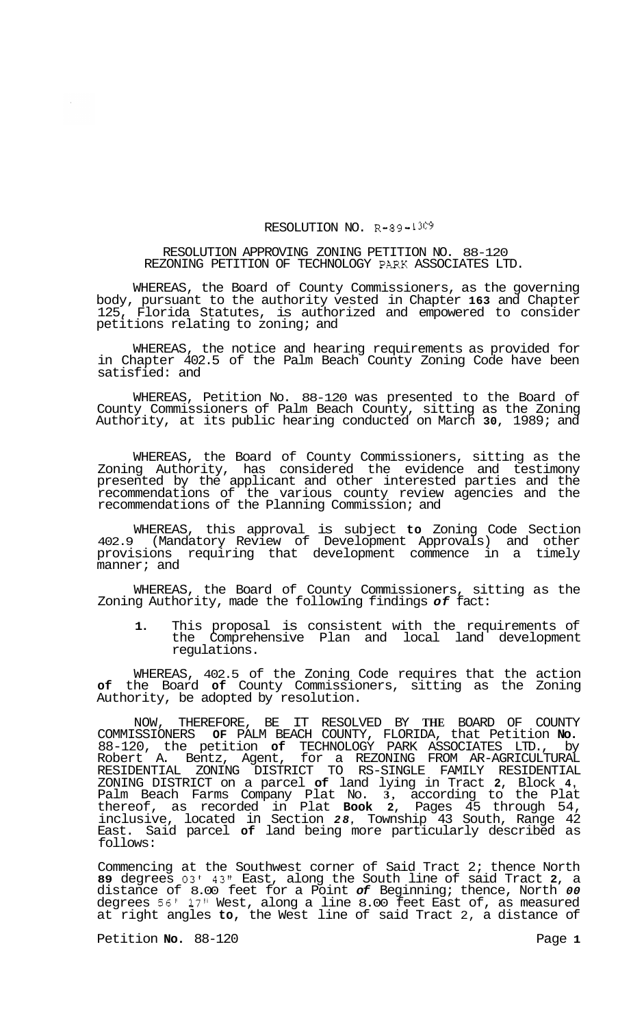## RESOLUTION NO. R-89-1309

## RESOLUTION APPROVING ZONING PETITION NO. 88-120 REZONING PETITION OF TECHNOLOGY PARK ASSOCIATES LTD.

WHEREAS, the Board of County Commissioners, as the governing body, pursuant to the authority vested in Chapter **163** and Chapter 125, Florida Statutes, is authorized and empowered to consider petitions relating to zoning; and

WHEREAS, the notice and hearing requirements as provided for in Chapter 402.5 of the Palm Beach County Zoning Code have been satisfied: and

WHEREAS, Petition No. 88-120 was presented to the Board of County Commissioners of Palm Beach County, sitting as the Zoning Authority, at its public hearing conducted on March **30,** 1989; and

WHEREAS, the Board of County Commissioners, sitting as the Zoning Authority, has considered the evidence and testimony presented by the applicant and other interested parties and the recommendations of the various county review agencies and the recommendations of the Planning Commission; and

WHEREAS, this approval is subject **to** Zoning Code Section 402.9 (Mandatory Review of Development Approvals) and other provisions requiring that development commence in a timely manner; and

WHEREAS, the Board of County Commissioners, sitting as the Zoning Authority, made the following findings *of* fact:

**1.** This proposal is consistent with the requirements of the Comprehensive Plan and local land development regulations.

WHEREAS, 402.5 of the Zoning Code requires that the action **of** the Board **of** County Commissioners, sitting as the Zoning Authority, be adopted by resolution.

NOW, THEREFORE, BE IT RESOLVED BY **THE** BOARD OF COUNTY COMMISSIONERS **OF** PALM BEACH COUNTY, FLORIDA, that Petition **No.**  88-120, the petition **of** TECHNOLOGY PARK ASSOCIATES LTD., by Robert A. Bentz, Agent, for a REZONING FROM AR-AGRICULTURAL ZONING DISTRICT on a parcel **of** land lying in Tract **2,** Block **4,**  Palm Beach Farms Company Plat No. **3,** according to the Plat thereof, as recorded in Plat **Book 2,** Pages 45 through 54, inclusive, located in Section *28,* Township 43 South, Range 42 East. Said parcel **of** land being more particularly described as follows: RESIDENTIAL ZONING DISTRICT TO RS-SINGLE FAMILY RESIDENTIAL

Commencing at the Southwest corner of Said Tract 2; thence North **89** degrees **03'** 43" East, along the South line of said Tract **2,** a distance of 8.00 feet for a Point *of* Beginning; thence, North *00*  degrees *56'* **17"** West, along a line 8.00 feet East of, as measured at right angles **to,** the West line of said Tract 2, a distance of

Petition **No.** 88-120 Page 1